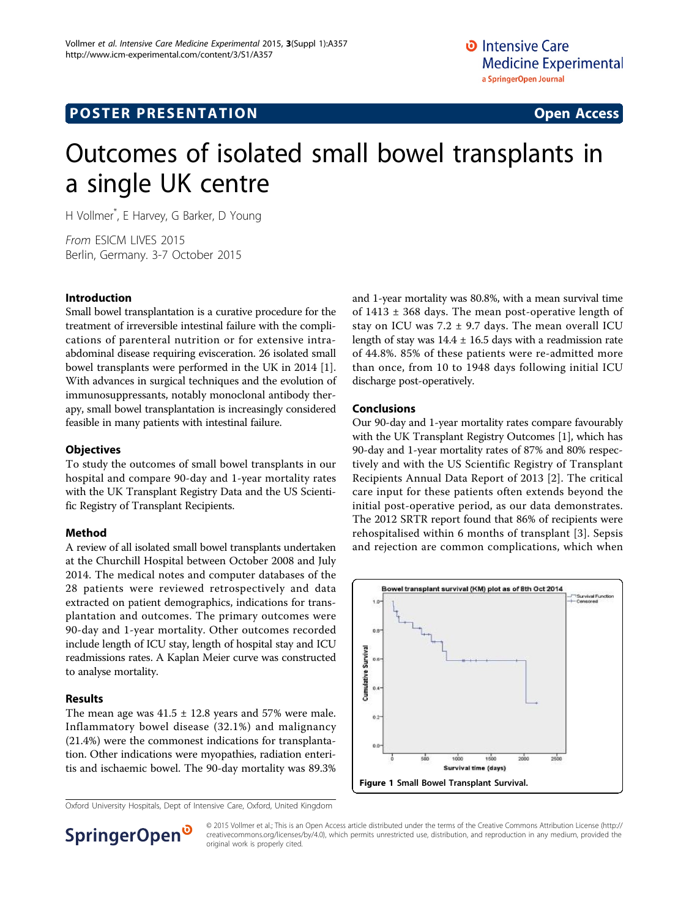## **POSTER PRESENTATION CONSUMING ACCESS**

# Outcomes of isolated small bowel transplants in a single UK centre

H Vollmer\* , E Harvey, G Barker, D Young

From ESICM LIVES 2015 Berlin, Germany. 3-7 October 2015

#### Introduction

Small bowel transplantation is a curative procedure for the treatment of irreversible intestinal failure with the complications of parenteral nutrition or for extensive intraabdominal disease requiring evisceration. 26 isolated small bowel transplants were performed in the UK in 2014 [\[1](#page-1-0)]. With advances in surgical techniques and the evolution of immunosuppressants, notably monoclonal antibody therapy, small bowel transplantation is increasingly considered feasible in many patients with intestinal failure.

#### **Objectives**

To study the outcomes of small bowel transplants in our hospital and compare 90-day and 1-year mortality rates with the UK Transplant Registry Data and the US Scientific Registry of Transplant Recipients.

### Method

A review of all isolated small bowel transplants undertaken at the Churchill Hospital between October 2008 and July 2014. The medical notes and computer databases of the 28 patients were reviewed retrospectively and data extracted on patient demographics, indications for transplantation and outcomes. The primary outcomes were 90-day and 1-year mortality. Other outcomes recorded include length of ICU stay, length of hospital stay and ICU readmissions rates. A Kaplan Meier curve was constructed to analyse mortality.

### Results

The mean age was  $41.5 \pm 12.8$  years and 57% were male. Inflammatory bowel disease (32.1%) and malignancy (21.4%) were the commonest indications for transplantation. Other indications were myopathies, radiation enteritis and ischaemic bowel. The 90-day mortality was 89.3%

Oxford University Hospitals, Dept of Intensive Care, Oxford, United Kingdom

and 1-year mortality was 80.8%, with a mean survival time of  $1413 \pm 368$  days. The mean post-operative length of stay on ICU was  $7.2 \pm 9.7$  days. The mean overall ICU length of stay was  $14.4 \pm 16.5$  days with a readmission rate of 44.8%. 85% of these patients were re-admitted more than once, from 10 to 1948 days following initial ICU discharge post-operatively.

#### Conclusions

Our 90-day and 1-year mortality rates compare favourably with the UK Transplant Registry Outcomes [[1](#page-1-0)], which has 90-day and 1-year mortality rates of 87% and 80% respectively and with the US Scientific Registry of Transplant Recipients Annual Data Report of 2013 [[2\]](#page-1-0). The critical care input for these patients often extends beyond the initial post-operative period, as our data demonstrates. The 2012 SRTR report found that 86% of recipients were rehospitalised within 6 months of transplant [\[3](#page-1-0)]. Sepsis and rejection are common complications, which when



SpringerOpen<sup>®</sup>

© 2015 Vollmer et al.; This is an Open Access article distributed under the terms of the Creative Commons Attribution License [\(http://](http://creativecommons.org/licenses/by/4.0) [creativecommons.org/licenses/by/4.0](http://creativecommons.org/licenses/by/4.0)), which permits unrestricted use, distribution, and reproduction in any medium, provided the original work is properly cited.